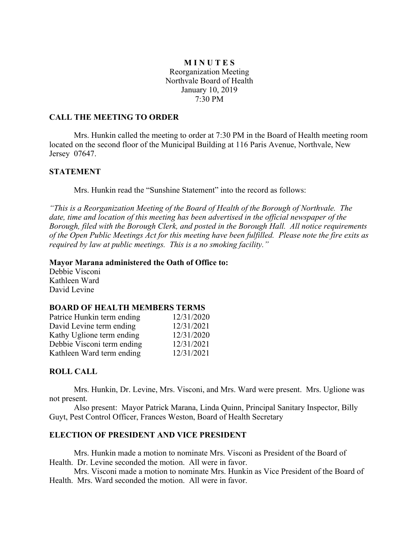# **M I N U T E S** Reorganization Meeting Northvale Board of Health January 10, 2019 7:30 PM

### **CALL THE MEETING TO ORDER**

Mrs. Hunkin called the meeting to order at 7:30 PM in the Board of Health meeting room located on the second floor of the Municipal Building at 116 Paris Avenue, Northvale, New Jersey 07647.

#### **STATEMENT**

Mrs. Hunkin read the "Sunshine Statement" into the record as follows:

*"This is a Reorganization Meeting of the Board of Health of the Borough of Northvale. The date, time and location of this meeting has been advertised in the official newspaper of the Borough, filed with the Borough Clerk, and posted in the Borough Hall. All notice requirements of the Open Public Meetings Act for this meeting have been fulfilled. Please note the fire exits as required by law at public meetings. This is a no smoking facility."*

#### **Mayor Marana administered the Oath of Office to:**

Debbie Visconi Kathleen Ward David Levine

#### **BOARD OF HEALTH MEMBERS TERMS**

| Patrice Hunkin term ending | 12/31/2020 |
|----------------------------|------------|
| David Levine term ending   | 12/31/2021 |
| Kathy Uglione term ending  | 12/31/2020 |
| Debbie Visconi term ending | 12/31/2021 |
| Kathleen Ward term ending  | 12/31/2021 |

## **ROLL CALL**

Mrs. Hunkin, Dr. Levine, Mrs. Visconi, and Mrs. Ward were present. Mrs. Uglione was not present.

Also present: Mayor Patrick Marana, Linda Quinn, Principal Sanitary Inspector, Billy Guyt, Pest Control Officer, Frances Weston, Board of Health Secretary

## **ELECTION OF PRESIDENT AND VICE PRESIDENT**

Mrs. Hunkin made a motion to nominate Mrs. Visconi as President of the Board of Health. Dr. Levine seconded the motion. All were in favor.

Mrs. Visconi made a motion to nominate Mrs. Hunkin as Vice President of the Board of Health. Mrs. Ward seconded the motion. All were in favor.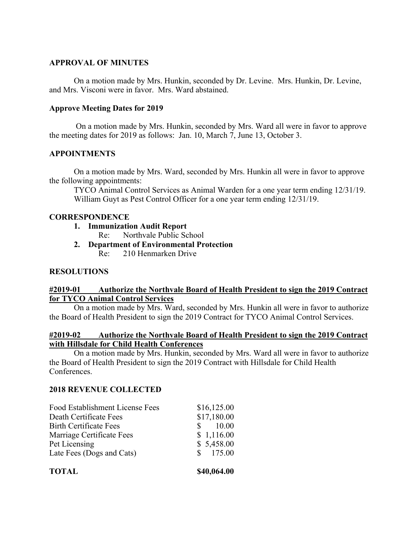# **APPROVAL OF MINUTES**

On a motion made by Mrs. Hunkin, seconded by Dr. Levine. Mrs. Hunkin, Dr. Levine, and Mrs. Visconi were in favor. Mrs. Ward abstained.

# **Approve Meeting Dates for 2019**

On a motion made by Mrs. Hunkin, seconded by Mrs. Ward all were in favor to approve the meeting dates for 2019 as follows: Jan. 10, March 7, June 13, October 3.

# **APPOINTMENTS**

On a motion made by Mrs. Ward, seconded by Mrs. Hunkin all were in favor to approve the following appointments:

TYCO Animal Control Services as Animal Warden for a one year term ending 12/31/19. William Guyt as Pest Control Officer for a one year term ending 12/31/19.

## **CORRESPONDENCE**

- **1. Immunization Audit Report**
	- Re: Northvale Public School
- **2. Department of Environmental Protection**
	- Re: 210 Henmarken Drive

## **RESOLUTIONS**

## **#2019-01 Authorize the Northvale Board of Health President to sign the 2019 Contract for TYCO Animal Control Services**

On a motion made by Mrs. Ward, seconded by Mrs. Hunkin all were in favor to authorize the Board of Health President to sign the 2019 Contract for TYCO Animal Control Services.

## **#2019-02 Authorize the Northvale Board of Health President to sign the 2019 Contract with Hillsdale for Child Health Conferences**

On a motion made by Mrs. Hunkin, seconded by Mrs. Ward all were in favor to authorize the Board of Health President to sign the 2019 Contract with Hillsdale for Child Health Conferences.

## **2018 REVENUE COLLECTED**

| \$175.00                        |
|---------------------------------|
|                                 |
| \$5,458.00                      |
| \$1,116.00                      |
| $\frac{\text{S}}{\text{10.00}}$ |
| \$17,180.00                     |
| \$16,125.00                     |
|                                 |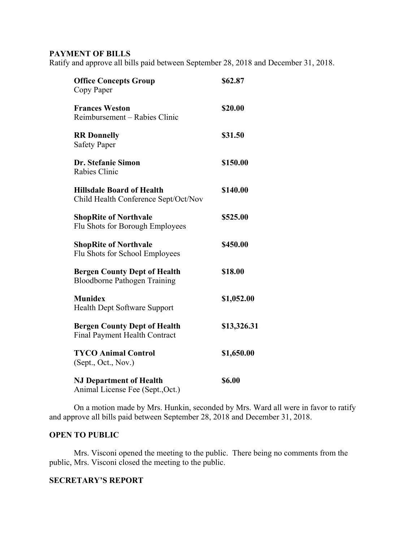# **PAYMENT OF BILLS**

Ratify and approve all bills paid between September 28, 2018 and December 31, 2018.

| <b>Office Concepts Group</b><br>Copy Paper                                  | \$62.87     |
|-----------------------------------------------------------------------------|-------------|
| <b>Frances Weston</b><br>Reimbursement – Rabies Clinic                      | \$20.00     |
| <b>RR</b> Donnelly<br><b>Safety Paper</b>                                   | \$31.50     |
| Dr. Stefanie Simon<br>Rabies Clinic                                         | \$150.00    |
| <b>Hillsdale Board of Health</b><br>Child Health Conference Sept/Oct/Nov    | \$140.00    |
| <b>ShopRite of Northvale</b><br>Flu Shots for Borough Employees             | \$525.00    |
| <b>ShopRite of Northvale</b><br>Flu Shots for School Employees              | \$450.00    |
| <b>Bergen County Dept of Health</b><br><b>Bloodborne Pathogen Training</b>  | \$18.00     |
| <b>Munidex</b><br>Health Dept Software Support                              | \$1,052.00  |
| <b>Bergen County Dept of Health</b><br><b>Final Payment Health Contract</b> | \$13,326.31 |
| <b>TYCO Animal Control</b><br>(Sept., Oct., Nov.)                           | \$1,650.00  |
| <b>NJ Department of Health</b><br>Animal License Fee (Sept., Oct.)          | \$6.00      |

On a motion made by Mrs. Hunkin, seconded by Mrs. Ward all were in favor to ratify and approve all bills paid between September 28, 2018 and December 31, 2018.

### **OPEN TO PUBLIC**

Mrs. Visconi opened the meeting to the public. There being no comments from the public, Mrs. Visconi closed the meeting to the public.

#### **SECRETARY'S REPORT**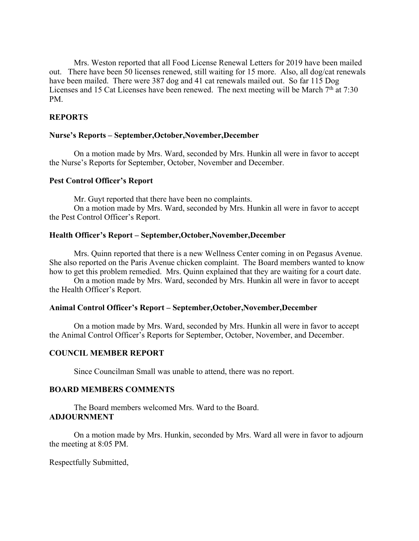Mrs. Weston reported that all Food License Renewal Letters for 2019 have been mailed out. There have been 50 licenses renewed, still waiting for 15 more. Also, all dog/cat renewals have been mailed. There were 387 dog and 41 cat renewals mailed out. So far 115 Dog Licenses and 15 Cat Licenses have been renewed. The next meeting will be March  $7<sup>th</sup>$  at 7:30 PM.

### **REPORTS**

#### **Nurse's Reports – September,October,November,December**

On a motion made by Mrs. Ward, seconded by Mrs. Hunkin all were in favor to accept the Nurse's Reports for September, October, November and December.

#### **Pest Control Officer's Report**

Mr. Guyt reported that there have been no complaints.

On a motion made by Mrs. Ward, seconded by Mrs. Hunkin all were in favor to accept the Pest Control Officer's Report.

#### **Health Officer's Report – September,October,November,December**

Mrs. Quinn reported that there is a new Wellness Center coming in on Pegasus Avenue. She also reported on the Paris Avenue chicken complaint. The Board members wanted to know how to get this problem remedied. Mrs. Quinn explained that they are waiting for a court date.

On a motion made by Mrs. Ward, seconded by Mrs. Hunkin all were in favor to accept the Health Officer's Report.

### **Animal Control Officer's Report – September,October,November,December**

On a motion made by Mrs. Ward, seconded by Mrs. Hunkin all were in favor to accept the Animal Control Officer's Reports for September, October, November, and December.

### **COUNCIL MEMBER REPORT**

Since Councilman Small was unable to attend, there was no report.

#### **BOARD MEMBERS COMMENTS**

The Board members welcomed Mrs. Ward to the Board. **ADJOURNMENT**

On a motion made by Mrs. Hunkin, seconded by Mrs. Ward all were in favor to adjourn the meeting at 8:05 PM.

Respectfully Submitted,